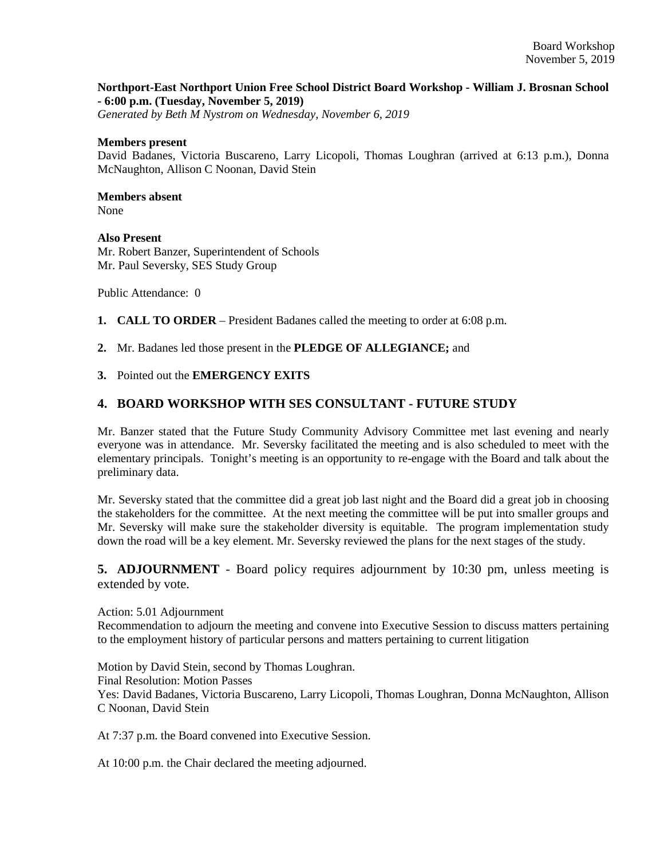#### **Northport-East Northport Union Free School District Board Workshop - William J. Brosnan School - 6:00 p.m. (Tuesday, November 5, 2019)**

*Generated by Beth M Nystrom on Wednesday, November 6, 2019*

#### **Members present**

David Badanes, Victoria Buscareno, Larry Licopoli, Thomas Loughran (arrived at 6:13 p.m.), Donna McNaughton, Allison C Noonan, David Stein

# **Members absent**

None

## **Also Present**

Mr. Robert Banzer, Superintendent of Schools Mr. Paul Seversky, SES Study Group

Public Attendance: 0

**1. CALL TO ORDER** – President Badanes called the meeting to order at 6:08 p.m.

**2.** Mr. Badanes led those present in the **PLEDGE OF ALLEGIANCE;** and

### **3.** Pointed out the **EMERGENCY EXITS**

# **4. BOARD WORKSHOP WITH SES CONSULTANT - FUTURE STUDY**

Mr. Banzer stated that the Future Study Community Advisory Committee met last evening and nearly everyone was in attendance. Mr. Seversky facilitated the meeting and is also scheduled to meet with the elementary principals. Tonight's meeting is an opportunity to re-engage with the Board and talk about the preliminary data.

Mr. Seversky stated that the committee did a great job last night and the Board did a great job in choosing the stakeholders for the committee. At the next meeting the committee will be put into smaller groups and Mr. Seversky will make sure the stakeholder diversity is equitable. The program implementation study down the road will be a key element. Mr. Seversky reviewed the plans for the next stages of the study.

**5. ADJOURNMENT** - Board policy requires adjournment by 10:30 pm, unless meeting is extended by vote.

Action: 5.01 Adjournment Recommendation to adjourn the meeting and convene into Executive Session to discuss matters pertaining to the employment history of particular persons and matters pertaining to current litigation

Motion by David Stein, second by Thomas Loughran. Final Resolution: Motion Passes Yes: David Badanes, Victoria Buscareno, Larry Licopoli, Thomas Loughran, Donna McNaughton, Allison C Noonan, David Stein

At 7:37 p.m. the Board convened into Executive Session.

At 10:00 p.m. the Chair declared the meeting adjourned.